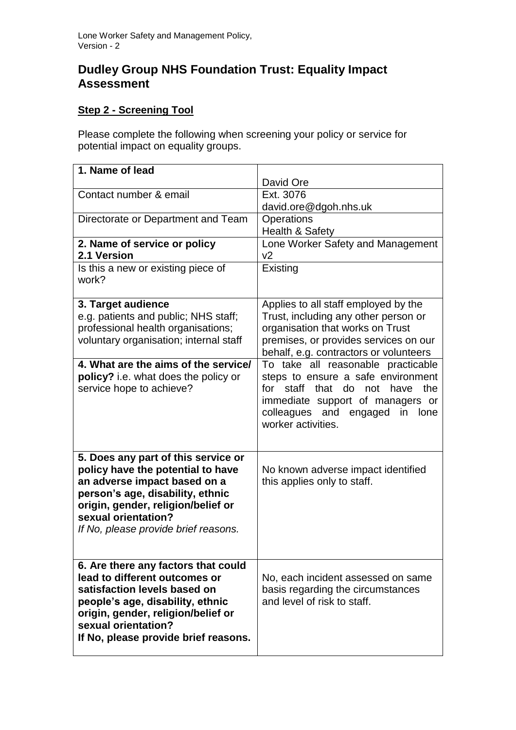# **Dudley Group NHS Foundation Trust: Equality Impact Assessment**

## **Step 2 - Screening Tool**

Please complete the following when screening your policy or service for potential impact on equality groups.

| 1. Name of lead                                                                                                                                                                                                                                   | David Ore                                                                                                                                                                                                                |
|---------------------------------------------------------------------------------------------------------------------------------------------------------------------------------------------------------------------------------------------------|--------------------------------------------------------------------------------------------------------------------------------------------------------------------------------------------------------------------------|
| Contact number & email                                                                                                                                                                                                                            | Ext. 3076<br>david.ore@dgoh.nhs.uk                                                                                                                                                                                       |
| Directorate or Department and Team                                                                                                                                                                                                                | Operations<br>Health & Safety                                                                                                                                                                                            |
| 2. Name of service or policy<br>2.1 Version                                                                                                                                                                                                       | Lone Worker Safety and Management<br>v <sub>2</sub>                                                                                                                                                                      |
| Is this a new or existing piece of<br>work?                                                                                                                                                                                                       | Existing                                                                                                                                                                                                                 |
| 3. Target audience<br>e.g. patients and public; NHS staff;<br>professional health organisations;<br>voluntary organisation; internal staff                                                                                                        | Applies to all staff employed by the<br>Trust, including any other person or<br>organisation that works on Trust<br>premises, or provides services on our<br>behalf, e.g. contractors or volunteers                      |
| 4. What are the aims of the service/<br>policy? i.e. what does the policy or<br>service hope to achieve?                                                                                                                                          | To take all reasonable practicable<br>steps to ensure a safe environment<br>for staff that<br>do<br>not<br>have<br>the<br>immediate support of managers or<br>colleagues and engaged<br>in<br>lone<br>worker activities. |
| 5. Does any part of this service or<br>policy have the potential to have<br>an adverse impact based on a<br>person's age, disability, ethnic<br>origin, gender, religion/belief or<br>sexual orientation?<br>If No, please provide brief reasons. | No known adverse impact identified<br>this applies only to staff.                                                                                                                                                        |
| 6. Are there any factors that could<br>lead to different outcomes or<br>satisfaction levels based on<br>people's age, disability, ethnic<br>origin, gender, religion/belief or<br>sexual orientation?<br>If No, please provide brief reasons.     | No, each incident assessed on same<br>basis regarding the circumstances<br>and level of risk to staff.                                                                                                                   |